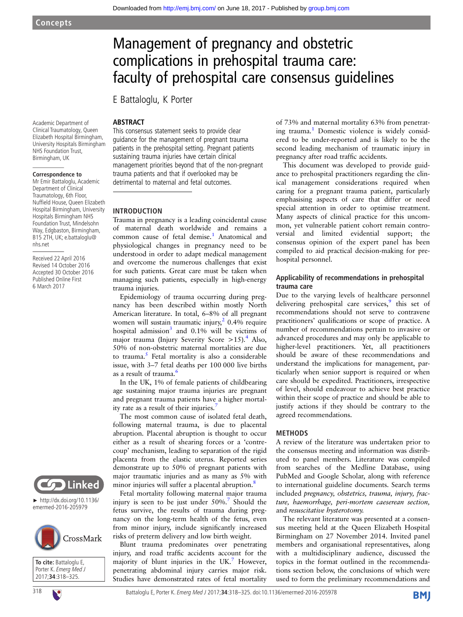Downloaded from<http://emj.bmj.com/>on June 18, 2017 - Published by [group.bmj.com](http://group.bmj.com)

## Academic Department of Clinical Traumatology, Queen Elizabeth Hospital Birmingham, University Hospitals Birmingham NHS Foundation Trust, Birmingham, UK

## **Correspondence to**

Mr Emir Battaloglu, Academic Department of Clinical Traumatology, 6th Floor, Nuffield House, Queen Elizabeth Hospital Birmingham, University Hospitals Birmingham NHS Foundation Trust, Mindelsohn Way, Edgbaston, Birmingham, B15 2TH, UK; e.battaloglu@ nhs.net

Received 22 April 2016 Revised 14 October 2016 Accepted 30 October 2016 Published Online First 6 March 2017



► http://dx.doi.org/10.1136/ emermed-2016-205979



**To cite:** Battaloglu E, Porter K. Emerg Med J 2017;**34**:318–325.

# Management of pregnancy and obstetric complications in prehospital trauma care: faculty of prehospital care consensus guidelines

E Battaloglu, K Porter

## **ARSTRACT**

This consensus statement seeks to provide clear guidance for the management of pregnant trauma patients in the prehospital setting. Pregnant patients sustaining trauma injuries have certain clinical management priorities beyond that of the non-pregnant trauma patients and that if overlooked may be detrimental to maternal and fetal outcomes.

## INTRODUCTION

Trauma in pregnancy is a leading coincidental cause of maternal death worldwide and remains a common cause of fetal demise.<sup>1</sup> Anatomical and physiological changes in pregnancy need to be understood in order to adapt medical management and overcome the numerous challenges that exist for such patients. Great care must be taken when managing such patients, especially in high-energy trauma injuries.

Epidemiology of trauma occurring during pregnancy has been described within mostly North American literature. In total, 6–8% of all pregnant women will sustain traumatic injury, $2$  0.4% require hospital admission<sup>[3](#page-6-0)</sup> and  $0.1\%$  will be victims of major trauma (Injury Severity Score  $>15$ ).<sup>[4](#page-6-0)</sup> Also, 50% of non-obstetric maternal mortalities are due to trauma. $<sup>5</sup>$  $<sup>5</sup>$  $<sup>5</sup>$  Fetal mortality is also a considerable</sup> issue, with 3–7 fetal deaths per 100 000 live births as a result of trauma.<sup>[6](#page-6-0)</sup>

In the UK, 1% of female patients of childbearing age sustaining major trauma injuries are pregnant and pregnant trauma patients have a higher mortal-ity rate as a result of their injuries.<sup>[7](#page-6-0)</sup>

The most common cause of isolated fetal death, following maternal trauma, is due to placental abruption. Placental abruption is thought to occur either as a result of shearing forces or a 'contrecoup' mechanism, leading to separation of the rigid placenta from the elastic uterus. Reported series demonstrate up to 50% of pregnant patients with major traumatic injuries and as many as 5% with minor injuries will suffer a placental abruption.<sup>[8](#page-6-0)</sup>

Fetal mortality following maternal major trauma injury is seen to be just under  $50\%$ .<sup>7</sup> Should the fetus survive, the results of trauma during pregnancy on the long-term health of the fetus, even from minor injury, include significantly increased risks of preterm delivery and low birth weight.

Blunt trauma predominates over penetrating injury, and road traffic accidents account for the majority of blunt injuries in the UK.<sup>[7](#page-6-0)</sup> However, penetrating abdominal injury carries major risk. Studies have demonstrated rates of fetal mortality

of 73% and maternal mortality 63% from penetrat-ing trauma.<sup>[1](#page-6-0)</sup> Domestic violence is widely considered to be under-reported and is likely to be the second leading mechanism of traumatic injury in pregnancy after road traffic accidents.

This document was developed to provide guidance to prehospital practitioners regarding the clinical management considerations required when caring for a pregnant trauma patient, particularly emphasising aspects of care that differ or need special attention in order to optimise treatment. Many aspects of clinical practice for this uncommon, yet vulnerable patient cohort remain controversial and limited evidential support; the consensus opinion of the expert panel has been compiled to aid practical decision-making for prehospital personnel.

## Applicability of recommendations in prehospital trauma care

Due to the varying levels of healthcare personnel delivering prehospital care services, $9$  this set of recommendations should not serve to contravene practitioners' qualifications or scope of practice. A number of recommendations pertain to invasive or advanced procedures and may only be applicable to higher-level practitioners. Yet, all practitioners should be aware of these recommendations and understand the implications for management, particularly when senior support is required or when care should be expedited. Practitioners, irrespective of level, should endeavour to achieve best practice within their scope of practice and should be able to justify actions if they should be contrary to the agreed recommendations.

## **METHODS**

A review of the literature was undertaken prior to the consensus meeting and information was distributed to panel members. Literature was compiled from searches of the Medline Database, using PubMed and Google Scholar, along with reference to international guideline documents. Search terms included pregnancy, obstetrics, trauma, injury, fracture, haemorrhage, peri-mortem caeserean section, and resuscitative hysterotomy.

The relevant literature was presented at a consensus meeting held at the Queen Elizabeth Hospital Birmingham on 27 November 2014. Invited panel members and organisational representatives, along with a multidisciplinary audience, discussed the topics in the format outlined in the recommendations section below, the conclusions of which were used to form the preliminary recommendations and

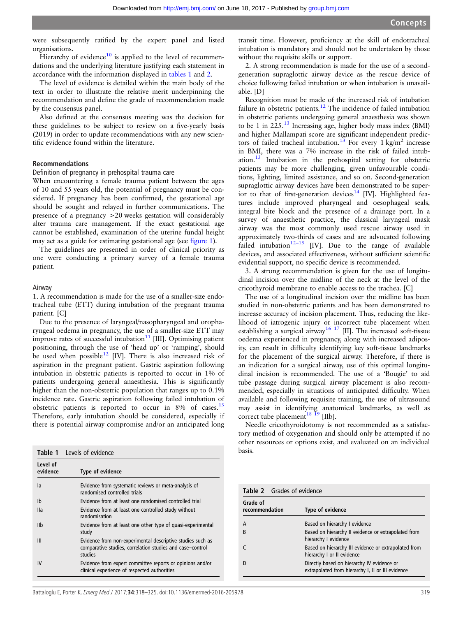were subsequently ratified by the expert panel and listed organisations.

Hierarchy of evidence<sup>10</sup> is applied to the level of recommendations and the underlying literature justifying each statement in accordance with the information displayed in tables 1 and 2.

The level of evidence is detailed within the main body of the text in order to illustrate the relative merit underpinning the recommendation and define the grade of recommendation made by the consensus panel.

Also defined at the consensus meeting was the decision for these guidelines to be subject to review on a five-yearly basis (2019) in order to update recommendations with any new scientific evidence found within the literature.

### Recommendations

#### Definition of pregnancy in prehospital trauma care

When encountering a female trauma patient between the ages of 10 and 55 years old, the potential of pregnancy must be considered. If pregnancy has been confirmed, the gestational age should be sought and relayed in further communications. The presence of a pregnancy >20 weeks gestation will considerably alter trauma care management. If the exact gestational age cannot be established, examination of the uterine fundal height may act as a guide for estimating gestational age (see fi[gure 1](#page-2-0)).

The guidelines are presented in order of clinical priority as one were conducting a primary survey of a female trauma patient.

#### Airway

1. A recommendation is made for the use of a smaller-size endotracheal tube (ETT) during intubation of the pregnant trauma patient. [C]

Due to the presence of laryngeal/nasopharyngeal and oropharyngeal oedema in pregnancy, the use of a smaller-size ETT may improve rates of successful intubation $11$  [III]. Optimising patient positioning, through the use of 'head up' or 'ramping', should be used when possible<sup>[12](#page-6-0)</sup> [IV]. There is also increased risk of aspiration in the pregnant patient. Gastric aspiration following intubation in obstetric patients is reported to occur in 1% of patients undergoing general anaesthesia. This is significantly higher than the non-obstetric population that ranges up to  $0.1\%$ incidence rate. Gastric aspiration following failed intubation of obstetric patients is reported to occur in  $8\%$  of cases.<sup>[13](#page-6-0)</sup> Therefore, early intubation should be considered, especially if there is potential airway compromise and/or an anticipated long

|                      | Table 1 Levels of evidence                                                                                                         | basis. |
|----------------------|------------------------------------------------------------------------------------------------------------------------------------|--------|
| Level of<br>evidence | Type of evidence                                                                                                                   |        |
| la                   | Evidence from systematic reviews or meta-analysis of<br>randomised controlled trials                                               | Tab    |
| Ib                   | Evidence from at least one randomised controlled trial                                                                             | Grad   |
| lla                  | Evidence from at least one controlled study without<br>randomisation                                                               | reco   |
| IIb                  | Evidence from at least one other type of quasi-experimental<br>study                                                               | A<br>B |
| Ш                    | Evidence from non-experimental descriptive studies such as<br>comparative studies, correlation studies and case-control<br>studies | C      |
| IV                   | Evidence from expert committee reports or opinions and/or<br>clinical experience of respected authorities                          | D      |

transit time. However, proficiency at the skill of endotracheal intubation is mandatory and should not be undertaken by those without the requisite skills or support.

2. A strong recommendation is made for the use of a secondgeneration supraglottic airway device as the rescue device of choice following failed intubation or when intubation is unavailable. [D]

Recognition must be made of the increased risk of intubation failure in obstetric patients.<sup>[12](#page-6-0)</sup> The incidence of failed intubation in obstetric patients undergoing general anaesthesia was shown to be 1 in  $225.^{13}$  $225.^{13}$  $225.^{13}$  Increasing age, higher body mass index (BMI) and higher Mallampati score are significant independent predictors of failed tracheal intubation.<sup>13</sup> For every 1 kg/m<sup>2</sup> increase in BMI, there was a 7% increase in the risk of failed intubation[.13](#page-6-0) Intubation in the prehospital setting for obstetric patients may be more challenging, given unfavourable conditions, lighting, limited assistance, and so on. Second-generation supraglottic airway devices have been demonstrated to be super-ior to that of first-generation devices<sup>[14](#page-6-0)</sup> [IV]. Highlighted features include improved pharyngeal and oesophageal seals, integral bite block and the presence of a drainage port. In a survey of anaesthetic practice, the classical laryngeal mask airway was the most commonly used rescue airway used in approximately two-thirds of cases and are advocated following failed intubation<sup>12-15</sup> [IV]. Due to the range of available devices, and associated effectiveness, without sufficient scientific evidential support, no specific device is recommended.

3. A strong recommendation is given for the use of longitudinal incision over the midline of the neck at the level of the cricothyroid membrane to enable access to the trachea. [C]

The use of a longitudinal incision over the midline has been studied in non-obstetric patients and has been demonstrated to increase accuracy of incision placement. Thus, reducing the likelihood of iatrogenic injury or incorrect tube placement when establishing a surgical airway<sup>[16 17](#page-6-0)</sup> [II]. The increased soft-tissue oedema experienced in pregnancy, along with increased adiposity, can result in difficulty identifying key soft-tissue landmarks for the placement of the surgical airway. Therefore, if there is an indication for a surgical airway, use of this optimal longitudinal incision is recommended. The use of a 'Bougie' to aid tube passage during surgical airway placement is also recommended, especially in situations of anticipated difficulty. When available and following requisite training, the use of ultrasound may assist in identifying anatomical landmarks, as well as correct tube placement<sup>18 19</sup> [IIb].

Needle cricothyroidotomy is not recommended as a satisfactory method of oxygenation and should only be attempted if no other resources or options exist, and evaluated on an individual

| <b>Table 2</b> Grades of evidence |                                                                                                 |
|-----------------------------------|-------------------------------------------------------------------------------------------------|
| Grade of<br>recommendation        | <b>Type of evidence</b>                                                                         |
| A                                 | Based on hierarchy I evidence                                                                   |
| R                                 | Based on hierarchy II evidence or extrapolated from<br>hierarchy I evidence                     |
|                                   | Based on hierarchy III evidence or extrapolated from<br>hierarchy I or II evidence              |
|                                   | Directly based on hierarchy IV evidence or<br>extrapolated from hierarchy I, II or III evidence |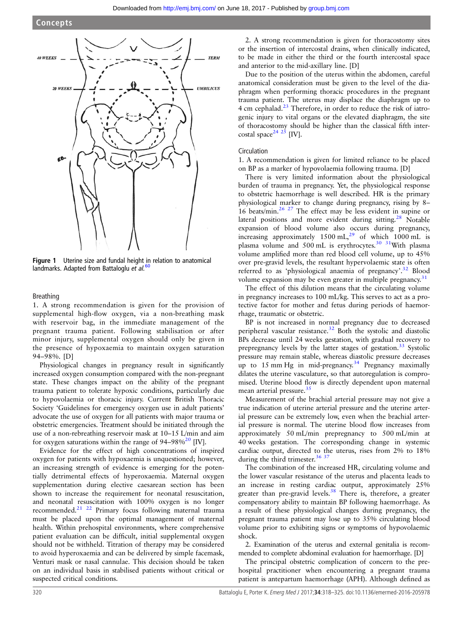<span id="page-2-0"></span>

Figure 1 Uterine size and fundal height in relation to anatomical landmarks. Adapted from Battaloglu et al.<sup>[60](#page-7-0)</sup>

Breathing

1. A strong recommendation is given for the provision of supplemental high-flow oxygen, via a non-breathing mask with reservoir bag, in the immediate management of the pregnant trauma patient. Following stabilisation or after minor injury, supplemental oxygen should only be given in the presence of hypoxaemia to maintain oxygen saturation 94–98%. [D]

Physiological changes in pregnancy result in significantly increased oxygen consumption compared with the non-pregnant state. These changes impact on the ability of the pregnant trauma patient to tolerate hypoxic conditions, particularly due to hypovolaemia or thoracic injury. Current British Thoracic Society 'Guidelines for emergency oxygen use in adult patients' advocate the use of oxygen for all patients with major trauma or obstetric emergencies. Treatment should be initiated through the use of a non-rebreathing reservoir mask at 10–15 L/min and aim for oxygen saturations within the range of  $94-98\%^{20}$  [IV].

Evidence for the effect of high concentrations of inspired oxygen for patients with hypoxaemia is unquestioned; however, an increasing strength of evidence is emerging for the potentially detrimental effects of hyperoxaemia. Maternal oxygen supplementation during elective caesarean section has been shown to increase the requirement for neonatal resuscitation, and neonatal resuscitation with 100% oxygen is no longer recommended.[21 22](#page-6-0) Primary focus following maternal trauma must be placed upon the optimal management of maternal health. Within prehospital environments, where comprehensive patient evaluation can be difficult, initial supplemental oxygen should not be withheld. Titration of therapy may be considered to avoid hyperoxaemia and can be delivered by simple facemask, Venturi mask or nasal cannulae. This decision should be taken on an individual basis in stabilised patients without critical or suspected critical conditions.

2. A strong recommendation is given for thoracostomy sites or the insertion of intercostal drains, when clinically indicated, to be made in either the third or the fourth intercostal space and anterior to the mid-axillary line. [D]

Due to the position of the uterus within the abdomen, careful anatomical consideration must be given to the level of the diaphragm when performing thoracic procedures in the pregnant trauma patient. The uterus may displace the diaphragm up to 4 cm cephalad.[23](#page-6-0) Therefore, in order to reduce the risk of iatrogenic injury to vital organs or the elevated diaphragm, the site of thoracostomy should be higher than the classical fifth inter-costal space<sup>[24 25](#page-6-0)</sup> [IV].

#### Circulation

1. A recommendation is given for limited reliance to be placed on BP as a marker of hypovolaemia following trauma. [D]

There is very limited information about the physiological burden of trauma in pregnancy. Yet, the physiological response to obstetric haemorrhage is well described. HR is the primary physiological marker to change during pregnancy, rising by 8– 16 beats/min.[26](#page-6-0) [27](#page-7-0) The effect may be less evident in supine or lateral positions and more evident during sitting.<sup>[28](#page-7-0)</sup> Notable expansion of blood volume also occurs during pregnancy, increasing approximately  $1500 \text{ mL}^{29}$  $1500 \text{ mL}^{29}$  $1500 \text{ mL}^{29}$  of which  $1000 \text{ mL}$  is plasma volume and 500 mL is erythrocytes.<sup>30</sup> <sup>31</sup>With plasma volume amplified more than red blood cell volume, up to 45% over pre-gravid levels, the resultant hypervolaemic state is often referred to as 'physiological anaemia of pregnancy'.<sup>[32](#page-7-0)</sup> Blood volume expansion may be even greater in multiple pregnancy. $31$ 

The effect of this dilution means that the circulating volume in pregnancy increases to 100 mL/kg. This serves to act as a protective factor for mother and fetus during periods of haemorrhage, traumatic or obstetric.

BP is not increased in normal pregnancy due to decreased peripheral vascular resistance.<sup>[32](#page-7-0)</sup> Both the systolic and diastolic BPs decrease until 24 weeks gestation, with gradual recovery to prepregnancy levels by the latter stages of gestation.<sup>[33](#page-7-0)</sup> Systolic pressure may remain stable, whereas diastolic pressure decreases up to 15 mm Hg in mid-pregnancy.<sup>[34](#page-7-0)</sup> Pregnancy maximally dilates the uterine vasculature, so that autoregulation is compromised. Uterine blood flow is directly dependent upon maternal mean arterial pressure.<sup>[35](#page-7-0)</sup>

Measurement of the brachial arterial pressure may not give a true indication of uterine arterial pressure and the uterine arterial pressure can be extremely low, even when the brachial arterial pressure is normal. The uterine blood flow increases from approximately 50 mL/min prepregnancy to 500 mL/min at 40 weeks gestation. The corresponding change in systemic cardiac output, directed to the uterus, rises from 2% to 18% during the third trimester.<sup>[36 37](#page-7-0)</sup>

The combination of the increased HR, circulating volume and the lower vascular resistance of the uterus and placenta leads to an increase in resting cardiac output, approximately 25% greater than pre-gravid levels.<sup>[38](#page-7-0)</sup> There is, therefore, a greater compensatory ability to maintain BP following haemorrhage. As a result of these physiological changes during pregnancy, the pregnant trauma patient may lose up to 35% circulating blood volume prior to exhibiting signs or symptoms of hypovolaemic shock.

2. Examination of the uterus and external genitalia is recommended to complete abdominal evaluation for haemorrhage. [D]

The principal obstetric complication of concern to the prehospital practitioner when encountering a pregnant trauma patient is antepartum haemorrhage (APH). Although defined as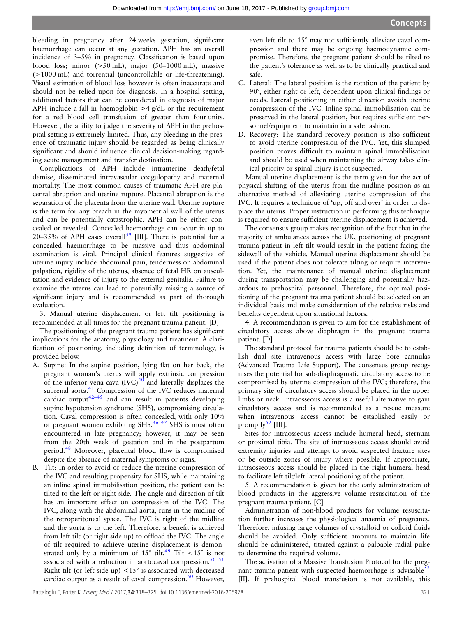bleeding in pregnancy after 24 weeks gestation, significant haemorrhage can occur at any gestation. APH has an overall incidence of 3–5% in pregnancy. Classification is based upon blood loss; minor (>50 mL), major (50–1000 mL), massive (>1000 mL) and torrential (uncontrollable or life-threatening). Visual estimation of blood loss however is often inaccurate and should not be relied upon for diagnosis. In a hospital setting, additional factors that can be considered in diagnosis of major APH include a fall in haemoglobin  $>4$  g/dL or the requirement for a red blood cell transfusion of greater than four units. However, the ability to judge the severity of APH in the prehospital setting is extremely limited. Thus, any bleeding in the presence of traumatic injury should be regarded as being clinically significant and should influence clinical decision-making regarding acute management and transfer destination.

Complications of APH include intrauterine death/fetal demise, disseminated intravascular coagulopathy and maternal mortality. The most common causes of traumatic APH are placental abruption and uterine rupture. Placental abruption is the separation of the placenta from the uterine wall. Uterine rupture is the term for any breach in the myometrial wall of the uterus and can be potentially catastrophic. APH can be either concealed or revealed. Concealed haemorrhage can occur in up to 20–35% of APH cases overall<sup>[39](#page-7-0)</sup> [III]. There is potential for a concealed haemorrhage to be massive and thus abdominal examination is vital. Principal clinical features suggestive of uterine injury include abdominal pain, tenderness on abdominal palpation, rigidity of the uterus, absence of fetal HR on auscultation and evidence of injury to the external genitalia. Failure to examine the uterus can lead to potentially missing a source of significant injury and is recommended as part of thorough evaluation.

3. Manual uterine displacement or left tilt positioning is recommended at all times for the pregnant trauma patient. [D]

The positioning of the pregnant trauma patient has significant implications for the anatomy, physiology and treatment. A clarification of positioning, including definition of terminology, is provided below.

- A. Supine: In the supine position, lying flat on her back, the pregnant woman's uterus will apply extrinsic compression of the inferior vena cava  ${(IVC)}^{40}$  ${(IVC)}^{40}$  ${(IVC)}^{40}$  and laterally displaces the subrenal aorta.<sup>[41](#page-7-0)</sup> Compression of the IVC reduces maternal cardiac output<sup>[42](#page-7-0)–45</sup> and can result in patients developing supine hypotension syndrome (SHS), compromising circulation. Caval compression is often concealed, with only 10% of pregnant women exhibiting SHS.[46 47](#page-7-0) SHS is most often encountered in late pregnancy; however, it may be seen from the 20th week of gestation and in the postpartum period.[48](#page-7-0) Moreover, placental blood flow is compromised despite the absence of maternal symptoms or signs.
- B. Tilt: In order to avoid or reduce the uterine compression of the IVC and resulting propensity for SHS, while maintaining an inline spinal immobilisation position, the patient can be tilted to the left or right side. The angle and direction of tilt has an important effect on compression of the IVC. The IVC, along with the abdominal aorta, runs in the midline of the retroperitoneal space. The IVC is right of the midline and the aorta is to the left. Therefore, a benefit is achieved from left tilt (or right side up) to offload the IVC. The angle of tilt required to achieve uterine displacement is demonstrated only by a minimum of 15 $\degree$  tilt.<sup>[49](#page-7-0)</sup> Tilt <15 $\degree$  is not associated with a reduction in aortocaval compression.<sup>[50 51](#page-7-0)</sup> Right tilt (or left side up)  $\langle 15^\circ$  is associated with decreased cardiac output as a result of caval compression. $50$  However,

even left tilt to 15° may not sufficiently alleviate caval compression and there may be ongoing haemodynamic compromise. Therefore, the pregnant patient should be tilted to the patient's tolerance as well as to be clinically practical and safe.

- C. Lateral: The lateral position is the rotation of the patient by 90°, either right or left, dependent upon clinical findings or needs. Lateral positioning in either direction avoids uterine compression of the IVC. Inline spinal immobilisation can be preserved in the lateral position, but requires sufficient personnel/equipment to maintain in a safe fashion.
- D. Recovery: The standard recovery position is also sufficient to avoid uterine compression of the IVC. Yet, this slumped position proves difficult to maintain spinal immobilisation and should be used when maintaining the airway takes clinical priority or spinal injury is not suspected.

Manual uterine displacement is the term given for the act of physical shifting of the uterus from the midline position as an alternative method of alleviating uterine compression of the IVC. It requires a technique of 'up, off and over' in order to displace the uterus. Proper instruction in performing this technique is required to ensure sufficient uterine displacement is achieved.

The consensus group makes recognition of the fact that in the majority of ambulances across the UK, positioning of pregnant trauma patient in left tilt would result in the patient facing the sidewall of the vehicle. Manual uterine displacement should be used if the patient does not tolerate tilting or require intervention. Yet, the maintenance of manual uterine displacement during transportation may be challenging and potentially hazardous to prehospital personnel. Therefore, the optimal positioning of the pregnant trauma patient should be selected on an individual basis and make consideration of the relative risks and benefits dependent upon situational factors.

4. A recommendation is given to aim for the establishment of circulatory access above diaphragm in the pregnant trauma patient. [D]

The standard protocol for trauma patients should be to establish dual site intravenous access with large bore cannulas (Advanced Trauma Life Support). The consensus group recognises the potential for sub-diaphragmatic circulatory access to be compromised by uterine compression of the IVC; therefore, the primary site of circulatory access should be placed in the upper limbs or neck. Intraosseous access is a useful alternative to gain circulatory access and is recommended as a rescue measure when intravenous access cannot be established easily or promptly $52$  [III].

Sites for intraosseous access include humeral head, sternum or proximal tibia. The site of intraosseous access should avoid extremity injuries and attempt to avoid suspected fracture sites or be outside zones of injury where possible. If appropriate, intraosseous access should be placed in the right humeral head to facilitate left tilt/left lateral positioning of the patient.

5. A recommendation is given for the early administration of blood products in the aggressive volume resuscitation of the pregnant trauma patient. [C]

Administration of non-blood products for volume resuscitation further increases the physiological anaemia of pregnancy. Therefore, infusing large volumes of crystalloid or colloid fluids should be avoided. Only sufficient amounts to maintain life should be administered, titrated against a palpable radial pulse to determine the required volume.

The activation of a Massive Transfusion Protocol for the pregnant trauma patient with suspected haemorrhage is advisable $53$ [II]. If prehospital blood transfusion is not available, this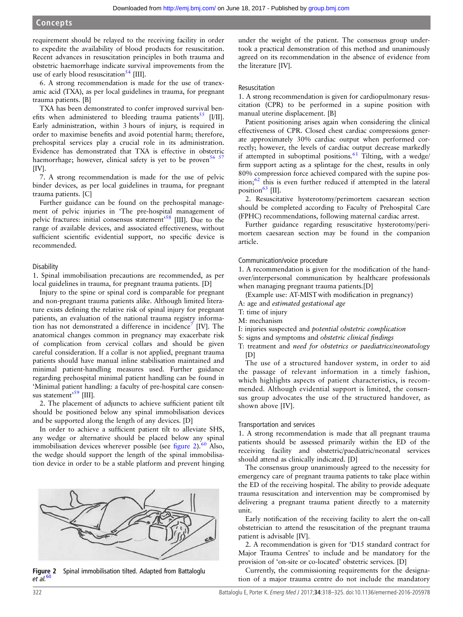requirement should be relayed to the receiving facility in order to expedite the availability of blood products for resuscitation. Recent advances in resuscitation principles in both trauma and obstetric haemorrhage indicate survival improvements from the use of early blood resuscitation<sup>[54](#page-7-0)</sup> [III].

6. A strong recommendation is made for the use of tranexamic acid (TXA), as per local guidelines in trauma, for pregnant trauma patients. [B]

TXA has been demonstrated to confer improved survival ben-efits when administered to bleeding trauma patients<sup>[55](#page-7-0)</sup> [I/II]. Early administration, within 3 hours of injury, is required in order to maximise benefits and avoid potential harm; therefore, prehospital services play a crucial role in its administration. Evidence has demonstrated that TXA is effective in obstetric haemorrhage; however, clinical safety is yet to be proven  $5657$ [IV].

7. A strong recommendation is made for the use of pelvic binder devices, as per local guidelines in trauma, for pregnant trauma patients. [C]

Further guidance can be found on the prehospital management of pelvic injuries in 'The pre-hospital management of pelvic fractures: initial consensus statement<sup>[58](#page-7-0)</sup> [III]. Due to the range of available devices, and associated effectiveness, without sufficient scientific evidential support, no specific device is recommended.

#### **Disability**

1. Spinal immobilisation precautions are recommended, as per local guidelines in trauma, for pregnant trauma patients. [D]

Injury to the spine or spinal cord is comparable for pregnant and non-pregnant trauma patients alike. Although limited literature exists defining the relative risk of spinal injury for pregnant patients, an evaluation of the national trauma registry information has not demonstrated a difference in incidence<sup>7</sup> [IV]. The anatomical changes common in pregnancy may exacerbate risk of complication from cervical collars and should be given careful consideration. If a collar is not applied, pregnant trauma patients should have manual inline stabilisation maintained and minimal patient-handling measures used. Further guidance regarding prehospital minimal patient handling can be found in 'Minimal patient handling: a faculty of pre-hospital care consen-sus statement<sup>[59](#page-7-0)</sup> [III].

2. The placement of adjuncts to achieve sufficient patient tilt should be positioned below any spinal immobilisation devices and be supported along the length of any devices. [D]

In order to achieve a sufficient patient tilt to alleviate SHS, any wedge or alternative should be placed below any spinal immobilisation devices wherever possible (see  $figure\ 2)$ .<sup>[60](#page-7-0)</sup> Also, the wedge should support the length of the spinal immobilisation device in order to be a stable platform and prevent hinging



Figure 2 Spinal immobilisation tilted. Adapted from Battaloglu  $et$  al.  $60$ 

under the weight of the patient. The consensus group undertook a practical demonstration of this method and unanimously agreed on its recommendation in the absence of evidence from the literature [IV].

#### Resuscitation

1. A strong recommendation is given for cardiopulmonary resuscitation (CPR) to be performed in a supine position with manual uterine displacement. [B]

Patient positioning arises again when considering the clinical effectiveness of CPR. Closed chest cardiac compressions generate approximately 30% cardiac output when performed correctly; however, the levels of cardiac output decrease markedly if attempted in suboptimal positions.<sup>61</sup> Tilting, with a wedge/ firm support acting as a splintage for the chest, results in only 80% compression force achieved compared with the supine position; $62$  this is even further reduced if attempted in the lateral position $^{63}$  $^{63}$  $^{63}$  [II].

2. Resuscitative hysterotomy/perimortem caesarean section should be completed according to Faculty of Prehospital Care (FPHC) recommendations, following maternal cardiac arrest.

Further guidance regarding resuscitative hysterotomy/perimortem caesarean section may be found in the companion article.

#### Communication/voice procedure

1. A recommendation is given for the modification of the handover/interpersonal communication by healthcare professionals when managing pregnant trauma patients.[D]

- (Example use: AT-MISTwith modification in pregnancy)
- A: age and estimated gestational age
- T: time of injury
- M: mechanism
- I: injuries suspected and potential obstetric complication
- S: signs and symptoms and obstetric clinical findings
- T: treatment and need for obstetrics or paediatrics/neonatology  $[D]$

The use of a structured handover system, in order to aid the passage of relevant information in a timely fashion, which highlights aspects of patient characteristics, is recommended. Although evidential support is limited, the consensus group advocates the use of the structured handover, as shown above [IV].

#### Transportation and services

1. A strong recommendation is made that all pregnant trauma patients should be assessed primarily within the ED of the receiving facility and obstetric/paediatric/neonatal services should attend as clinically indicated. [D]

The consensus group unanimously agreed to the necessity for emergency care of pregnant trauma patients to take place within the ED of the receiving hospital. The ability to provide adequate trauma resuscitation and intervention may be compromised by delivering a pregnant trauma patient directly to a maternity unit.

Early notification of the receiving facility to alert the on-call obstetrician to attend the resuscitation of the pregnant trauma patient is advisable [IV].

2. A recommendation is given for 'D15 standard contract for Major Trauma Centres' to include and be mandatory for the provision of 'on-site or co-located' obstetric services. [D]

Currently, the commissioning requirements for the designation of a major trauma centre do not include the mandatory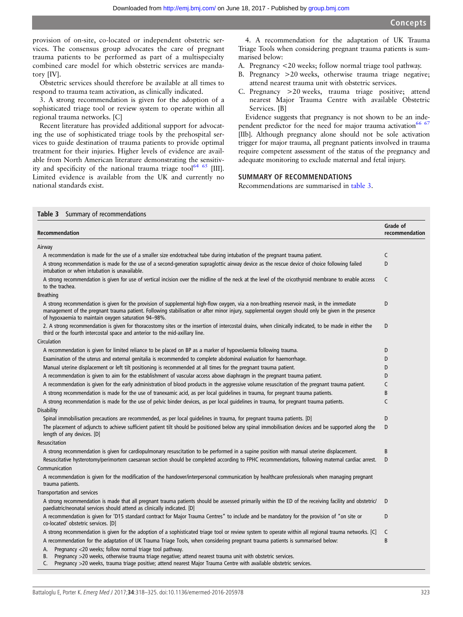provision of on-site, co-located or independent obstetric services. The consensus group advocates the care of pregnant trauma patients to be performed as part of a multispecialty combined care model for which obstetric services are mandatory [IV].

Obstetric services should therefore be available at all times to respond to trauma team activation, as clinically indicated.

3. A strong recommendation is given for the adoption of a sophisticated triage tool or review system to operate within all regional trauma networks. [C]

Recent literature has provided additional support for advocating the use of sophisticated triage tools by the prehospital services to guide destination of trauma patients to provide optimal treatment for their injuries. Higher levels of evidence are available from North American literature demonstrating the sensitivity and specificity of the national trauma triage tool<sup>64 65</sup> [III]. Limited evidence is available from the UK and currently no national standards exist.

4. A recommendation for the adaptation of UK Trauma Triage Tools when considering pregnant trauma patients is summarised below:

- A. Pregnancy <20 weeks; follow normal triage tool pathway.
- B. Pregnancy >20 weeks, otherwise trauma triage negative; attend nearest trauma unit with obstetric services.
- C. Pregnancy >20 weeks, trauma triage positive; attend nearest Major Trauma Centre with available Obstetric Services. [B]

Evidence suggests that pregnancy is not shown to be an independent predictor for the need for major trauma activation<sup>66 67</sup> [IIb]. Although pregnancy alone should not be sole activation trigger for major trauma, all pregnant patients involved in trauma require competent assessment of the status of the pregnancy and adequate monitoring to exclude maternal and fetal injury.

## SUMMARY OF RECOMMENDATIONS

Recommendations are summarised in table 3.

| Summary of recommendations<br>Table 3                                                                                                                                                                                                                                                                                                                  |                            |  |  |  |
|--------------------------------------------------------------------------------------------------------------------------------------------------------------------------------------------------------------------------------------------------------------------------------------------------------------------------------------------------------|----------------------------|--|--|--|
| Recommendation                                                                                                                                                                                                                                                                                                                                         | Grade of<br>recommendation |  |  |  |
| Airway                                                                                                                                                                                                                                                                                                                                                 |                            |  |  |  |
| A recommendation is made for the use of a smaller size endotracheal tube during intubation of the pregnant trauma patient.                                                                                                                                                                                                                             | C                          |  |  |  |
| A strong recommendation is made for the use of a second-generation supraglottic airway device as the rescue device of choice following failed<br>intubation or when intubation is unavailable.                                                                                                                                                         | D                          |  |  |  |
| A strong recommendation is given for use of vertical incision over the midline of the neck at the level of the cricothyroid membrane to enable access<br>to the trachea.                                                                                                                                                                               | C                          |  |  |  |
| <b>Breathing</b>                                                                                                                                                                                                                                                                                                                                       |                            |  |  |  |
| A strong recommendation is given for the provision of supplemental high-flow oxygen, via a non-breathing reservoir mask, in the immediate<br>management of the pregnant trauma patient. Following stabilisation or after minor injury, supplemental oxygen should only be given in the presence<br>of hypoxaemia to maintain oxygen saturation 94-98%. | D                          |  |  |  |
| 2. A strong recommendation is given for thoracostomy sites or the insertion of intercostal drains, when clinically indicated, to be made in either the<br>third or the fourth intercostal space and anterior to the mid-axillary line.                                                                                                                 | D                          |  |  |  |
| Circulation                                                                                                                                                                                                                                                                                                                                            |                            |  |  |  |
| A recommendation is given for limited reliance to be placed on BP as a marker of hypovolaemia following trauma.                                                                                                                                                                                                                                        | D                          |  |  |  |
| Examination of the uterus and external genitalia is recommended to complete abdominal evaluation for haemorrhage.                                                                                                                                                                                                                                      | D                          |  |  |  |
| Manual uterine displacement or left tilt positioning is recommended at all times for the pregnant trauma patient.                                                                                                                                                                                                                                      | D                          |  |  |  |
| A recommendation is given to aim for the establishment of vascular access above diaphragm in the pregnant trauma patient.                                                                                                                                                                                                                              | D                          |  |  |  |
| A recommendation is given for the early administration of blood products in the aggressive volume resuscitation of the pregnant trauma patient.                                                                                                                                                                                                        | C                          |  |  |  |
| A strong recommendation is made for the use of tranexamic acid, as per local quidelines in trauma, for pregnant trauma patients.                                                                                                                                                                                                                       | B                          |  |  |  |
| A strong recommendation is made for the use of pelvic binder devices, as per local quidelines in trauma, for pregnant trauma patients.                                                                                                                                                                                                                 | C                          |  |  |  |
| Disability                                                                                                                                                                                                                                                                                                                                             |                            |  |  |  |
| Spinal immobilisation precautions are recommended, as per local guidelines in trauma, for pregnant trauma patients. [D]                                                                                                                                                                                                                                | D                          |  |  |  |
| The placement of adjuncts to achieve sufficient patient tilt should be positioned below any spinal immobilisation devices and be supported along the<br>length of any devices. [D]                                                                                                                                                                     | D                          |  |  |  |
| Resuscitation                                                                                                                                                                                                                                                                                                                                          |                            |  |  |  |
| A strong recommendation is given for cardiopulmonary resuscitation to be performed in a supine position with manual uterine displacement.                                                                                                                                                                                                              | B                          |  |  |  |
| Resuscitative hysterotomy/perimortem caesarean section should be completed according to FPHC recommendations, following maternal cardiac arrest.                                                                                                                                                                                                       | D                          |  |  |  |
| Communication                                                                                                                                                                                                                                                                                                                                          |                            |  |  |  |
| A recommendation is given for the modification of the handover/interpersonal communication by healthcare professionals when managing pregnant<br>trauma patients.                                                                                                                                                                                      |                            |  |  |  |
| Transportation and services                                                                                                                                                                                                                                                                                                                            |                            |  |  |  |
| A strong recommendation is made that all pregnant trauma patients should be assessed primarily within the ED of the receiving facility and obstetric/<br>paediatric/neonatal services should attend as clinically indicated. [D]                                                                                                                       | D                          |  |  |  |
| A recommendation is given for 'D15 standard contract for Major Trauma Centres" to include and be mandatory for the provision of "on site or<br>co-located' obstetric services. [D]                                                                                                                                                                     | D                          |  |  |  |
| A strong recommendation is given for the adoption of a sophisticated triage tool or review system to operate within all regional trauma networks. [C]                                                                                                                                                                                                  | C                          |  |  |  |
| A recommendation for the adaptation of UK Trauma Triage Tools, when considering pregnant trauma patients is summarised below:                                                                                                                                                                                                                          | B                          |  |  |  |
| Pregnancy <20 weeks; follow normal triage tool pathway.<br>А.                                                                                                                                                                                                                                                                                          |                            |  |  |  |
| Pregnancy >20 weeks, otherwise trauma triage negative; attend nearest trauma unit with obstetric services.<br>В.<br>Pregnancy >20 weeks, trauma triage positive; attend nearest Major Trauma Centre with available obstetric services.<br>C.                                                                                                           |                            |  |  |  |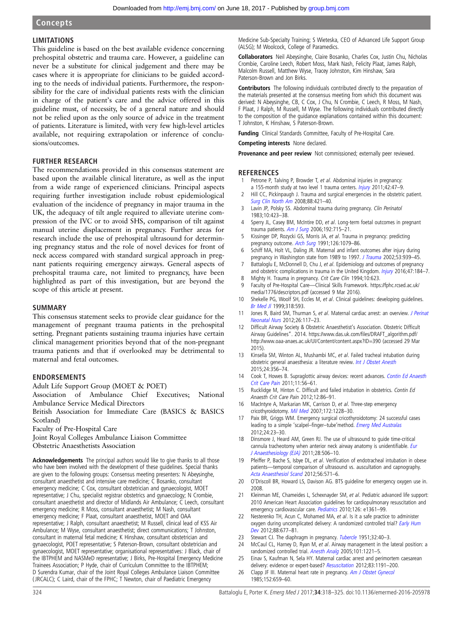## <span id="page-6-0"></span>**Concepts**

## LIMITATIONS

This guideline is based on the best available evidence concerning prehospital obstetric and trauma care. However, a guideline can never be a substitute for clinical judgement and there may be cases where it is appropriate for clinicians to be guided according to the needs of individual patients. Furthermore, the responsibility for the care of individual patients rests with the clinician in charge of the patient's care and the advice offered in this guideline must, of necessity, be of a general nature and should not be relied upon as the only source of advice in the treatment of patients. Literature is limited, with very few high-level articles available, not requiring extrapolation or inference of conclusions/outcomes.

## FURTHER RESEARCH

The recommendations provided in this consensus statement are based upon the available clinical literature, as well as the input from a wide range of experienced clinicians. Principal aspects requiring further investigation include robust epidemiological evaluation of the incidence of pregnancy in major trauma in the UK, the adequacy of tilt angle required to alleviate uterine compression of the IVC or to avoid SHS, comparison of tilt against manual uterine displacement in pregnancy. Further areas for research include the use of prehospital ultrasound for determining pregnancy status and the role of novel devices for front of neck access compared with standard surgical approach in pregnant patients requiring emergency airways. General aspects of prehospital trauma care, not limited to pregnancy, have been highlighted as part of this investigation, but are beyond the scope of this article at present.

#### SUMMARY

This consensus statement seeks to provide clear guidance for the management of pregnant trauma patients in the prehospital setting. Pregnant patients sustaining trauma injuries have certain clinical management priorities beyond that of the non-pregnant trauma patients and that if overlooked may be detrimental to maternal and fetal outcomes.

## ENDORSEMENTS

Adult Life Support Group (MOET & POET)

Association of Ambulance Chief Executives; National Ambulance Service Medical Directors

British Association for Immediate Care (BASICS & BASICS Scotland)

Faculty of Pre-Hospital Care

Joint Royal Colleges Ambulance Liaison Committee Obstetric Anaesthetists Association

Acknowledgements The principal authors would like to give thanks to all those who have been involved with the development of these guidelines. Special thanks are given to the following groups: Consensus meeting presenters: N Abeysinghe, consultant anaesthetist and intensive care medicine; C Bosanko, consultant emergency medicine; C Cox, consultant obstetrician and gynaecologist, MOET representative; J Chu, specialist registrar obstetrics and gynaecology; N Crombie, consultant anaesthetist and director of Midlands Air Ambulance; C Leech, consultant emergency medicine; R Moss, consultant anaesthetist; M Nash, consultant emergency medicine; F Plaat, consultant anaesthetist, MOET and OAA representative; J Ralph, consultant anaesthetist; M Russell, clinical lead of KSS Air Ambulance; M Wyse, consultant anaesthetist; direct communications; T Johnston, consultant in maternal fetal medicine; K Hinshaw, consultant obstetrician and gynaecologist, POET representative; S Paterson-Brown, consultant obstetrician and gynaecologist, MOET representative; organisational representatives: J Black, chair of the IBTPHEM and NASMeD representative; J Birks, Pre-Hospital Emergency Medicine Trainees Association; P Hyde, chair of Curriculum Committee to the IBTPHEM; D Surendra Kumar, chair of the Joint Royal Colleges Ambulance Liaison Committee ( JRCALC); C Laird, chair of the FPHC; T Newton, chair of Paediatric Emergency

Medicine Sub-Specialty Training; S Wieteska, CEO of Advanced Life Support Group (ALSG); M Woolcock, College of Paramedics.

Collaborators Neil Abeysinghe, Claire Bosanko, Charles Cox, Justin Chu, Nicholas Crombie, Caroline Leech, Robert Moss, Mark Nash, Felicity Plaat, James Ralph, Malcolm Russell, Matthew Wyse, Tracey Johnston, Kim Hinshaw, Sara Paterson-Brown and Jon Birks.

Contributors The following individuals contributed directly to the preparation of the materials presented at the consensus meeting from which this document was derived: N Abeysinghe, CB, C Cox, J Chu, N Crombie, C Leech, R Moss, M Nash, F Plaat, J Ralph, M Russell, M Wyse. The following individuals contributed directly to the composition of the guidance explanations contained within this document: T Johnston, K Hinshaw, S Paterson-Brown.

Funding Clinical Standards Committee, Faculty of Pre-Hospital Care.

Competing interests None declared.

Provenance and peer review Not commissioned; externally peer reviewed.

#### **REFERENCES**

- Petrone P, Talving P, Browder T, et al. Abdominal injuries in pregnancy: a 155-month study at two level 1 trauma centers. *[Injury](http://dx.doi.org/10.1016/j.injury.2010.06.026)* 2011;42:47-9.
- 2 Hill CC, Pickinpaugh J. Trauma and surgical emergencies in the obstetric patient. [Surg Clin North Am](http://dx.doi.org/10.1016/j.suc.2007.12.006) 2008;88:421–40.
- 3 Lavin JP, Polsky SS. Abdominal trauma during pregnancy. Clin Perinatol 1983;10:423–38.
- 4 Sperry JL, Casey BM, McIntire DD, et al. Long-term foetal outcomes in pregnant trauma patients. [Am J Surg](http://dx.doi.org/10.1016/j.amjsurg.2006.08.032) 2006;192:715-21.
- Kissinger DP, Rozycki GS, Morris JA, et al. Trauma in pregnancy: predicting pregnancy outcome. [Arch Surg](http://dx.doi.org/10.1001/archsurg.1991.01410330033004) 1991;126:1079–86.
- 6 Schiff MA, Holt VL, Daling JR. Maternal and infant outcomes after injury during pregnancy in Washington state from 1989 to 1997. [J Trauma](http://dx.doi.org/10.1097/01.TA.0000033750.65011.BC) 2002;53:939-45.
- 7 Battaloglu E, McDonnell D, Chu J, et al. Epidemiology and outcomes of pregnancy and obstetric complications in trauma in the United Kingdom. [Injury](http://dx.doi.org/10.1016/j.injury.2015.08.026) 2016;47:184-7.
- 8 Mighty H. Trauma in pregnancy. Crit Care Clin 1994;10:623.
- 9 Faculty of Pre-Hospital Care—Clinical Skills Framework. [https://fphc.rcsed.ac.uk/](https://fphc.rcsed.ac.uk/media/1776/descriptors.pdf) [media/1776/descriptors.pdf](https://fphc.rcsed.ac.uk/media/1776/descriptors.pdf) (accessed 9 Mar 2016).
- 10 Shekelle PG, Woolf SH, Eccles M, et al. Clinical guidelines: developing guidelines. [Br Med Jl](http://dx.doi.org/10.1136/bmj.318.7183.593) 1999;318:593.
- 11 Jones R, Baird SM, Thurman S, et al. Maternal cardiac arrest: an overview. *[J Perinat](http://dx.doi.org/10.1097/JPN.0b013e31825187f8)* [Neonatal Nurs](http://dx.doi.org/10.1097/JPN.0b013e31825187f8) 2012;26:117–23.
- Difficult Airway Society & Obstetric Anaesthetist's Association. Obstetric Difficult Airway Guidelines". 2014. [https://](https://www.das.uk.com/files/DRAFT_algorithm.pdf/)www.das.uk.com/fi[les/DRAFT\\_algorithm.pdf/](https://www.das.uk.com/files/DRAFT_algorithm.pdf/) <http://www.oaa-anaes.ac.uk/UI/Content/content.aspx?ID=390> (accessed 29 Mar 2015).
- 13 Kinsella SM, Winton AL, Mushambi MC, et al. Failed tracheal intubation during obstetric general anaesthesia: a literature review. [Int J Obstet Anesth](http://dx.doi.org/10.1016/j.ijoa.2015.06.008) 2015;24:356–74.
- 14 Cook T, Howes B. Supraglottic airway devices: recent advances. [Contin Ed Anaesth](http://dx.doi.org/10.1093/bjaceaccp/mkq058) [Crit Care Pain](http://dx.doi.org/10.1093/bjaceaccp/mkq058) 2011;11:56–61.
- 15 Rucklidge M, Hinton C. Difficult and failed intubation in obstetrics. Contin Ed Anaesth Crit Care Pain 2012;12:86–91.
- 16 MacIntyre A, Markarian MK, Carrison D, et al. Three-step emergency cricothyroidotomy. [Mil Med](http://dx.doi.org/10.7205/MILMED.172.12.1228) 2007;172:1228-30.
- 17 Paix BR, Griggs WM. Emergency surgical cricothyroidotomy: 24 successful cases leading to a simple 'scalpel–finger–tube'method. [Emerg Med Australas](http://dx.doi.org/10.1111/j.1742-6723.2011.01510.x) 2012;24:23–30.
- 18 Dinsmore J, Heard AM, Green RJ. The use of ultrasound to guide time-critical cannula tracheotomy when anterior neck airway anatomy is unidentifiable. [Eur](http://dx.doi.org/10.1097/EJA.0b013e328344b4e1) [J Anaesthesiology \(EJA\)](http://dx.doi.org/10.1097/EJA.0b013e328344b4e1) 2011;28:506–10.
- 19 Pfeiffer P, Bache S, Isbye DL, et al. Verification of endotracheal intubation in obese patients—temporal comparison of ultrasound vs. auscultation and capnography. [Acta Anaesthesiol Scand](http://dx.doi.org/10.1111/j.1399-6576.2011.02630.x) 2012;56:571–6.
- 20 O'Driscoll BR, Howard LS, Davison AG. BTS guideline for emergency oxygen use in. 2008.
- 21 Kleinman ME, Chameides L, Schexnayder SM, et al. Pediatric advanced life support: 2010 American Heart Association guidelines for cardiopulmonary resuscitation and emergency cardiovascular care. [Pediatrics](http://dx.doi.org/10.1542/peds.2010-2972D) 2010;126: e1361-99.
- 22 Nesterenko TH, Acun C, Mohamed MA, et al. Is it a safe practice to administer oxygen during uncomplicated delivery: A randomized controlled trial? [Early Hum](http://dx.doi.org/10.1016/j.earlhumdev.2012.02.007) [Dev](http://dx.doi.org/10.1016/j.earlhumdev.2012.02.007) 2012;88:677–81.
- 23 Stewart CJ. The diaphragm in pregnancy. [Tubercle](http://dx.doi.org/10.1016/S0041-3879(51)80089-8) 1951;32:40-3.
- 24 McCaul CL, Harney D, Ryan M, et al. Airway management in the lateral position: a randomized controlled trial. [Anesth Analg](http://dx.doi.org/10.1213/01.ane.0000171712.44746.bb) 2005;101:1221–5.
- 25 Einav S, Kaufman N, Sela HY. Maternal cardiac arrest and perimortem caesarean delivery: evidence or expert-based? [Resuscitation](http://dx.doi.org/10.1016/j.resuscitation.2012.05.005) 2012;83:1191-200.
- 26 Clapp JF III. Maternal heart rate in pregnancy. [Am J Obstet Gynecol](http://dx.doi.org/10.1016/S0002-9378(85)80040-5) 1985;152:659–60.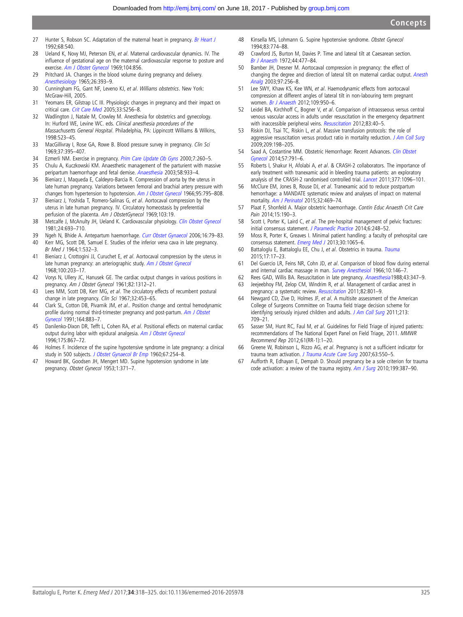- <span id="page-7-0"></span>27 Hunter S, Robson SC. Adaptation of the maternal heart in pregnancy. [Br Heart J](http://dx.doi.org/10.1136/hrt.68.12.540) 1992;68:540.
- 28 Ueland K, Novy MJ, Peterson EN, et al. Maternal cardiovascular dynamics. IV. The influence of gestational age on the maternal cardiovascular response to posture and exercise. [Am J Obstet Gynecol](http://dx.doi.org/10.1016/0002-9378(69)90637-1) 1969;104:856.
- 29 Pritchard JA. Changes in the blood volume during pregnancy and delivery. [Anesthesiology](http://dx.doi.org/10.1097/00000542-196507000-00004) 1965;26:393–9.
- 30 Cunningham FG, Gant NF, Leveno KJ, et al. Williams obstetrics. New York: McGraw-Hill, 2005.
- 31 Yeomans ER, Gilstrap LC III. Physiologic changes in pregnancy and their impact on critical care. [Crit Care Med](http://dx.doi.org/10.1097/01.CCM.0000183540.69405.90) 2005;33:S256–8.
- 32 Wadlington J, Natale M, Crowley M. Anesthesia for obstetrics and gynecology. In: Hurford WE, Levine WC. eds. Clinical anesthesia procedures of the Massachusetts General Hospital. Philadelphia, PA: Lippincott Williams & Wilkins, 1998:523–45.
- 33 MacGillivray I, Rose GA, Rowe B. Blood pressure survey in pregnancy. Clin Sci 1969;37:395–407.
- 34 Ezmerli NM. Exercise in pregnancy. [Prim Care Update Ob Gyns](http://dx.doi.org/10.1016/S1068-607X(00)00056-1) 2000;7:260-5.
- 35 Chulu A, Kuczkowski KM. Anaesthetic management of the parturient with massive peripartum haemorrhage and fetal demise. [Anaesthesia](http://dx.doi.org/10.1046/j.1365-2044.2003.03362_30.x) 2003;58:933–4.
- 36 Bieniarz J, Maqueda E, Caldeyro-Barcia R. Compression of aorta by the uterus in late human pregnancy. Variations between femoral and brachial artery pressure with changes from hypertension to hypotension. [Am J Obstet Gynecol](http://dx.doi.org/10.1016/0002-9378(66)90081-0) 1966;95:795–808.
- 37 Bieniarz J, Yoshida T, Romero-Salinas G, et al. Aortocaval compression by the uterus in late human pregnancy. IV. Circulatory homeostasis by preferential perfusion of the placenta. Am J ObstetGynecol 1969;103:19.
- 38 Metcalfe J, McAnulty JH, Ueland K. Cardiovascular physiology. [Clin Obstet Gynecol](http://dx.doi.org/10.1097/00003081-198109000-00002) 1981;24:693–710.
- 39 Ngeh N, Bhide A. Antepartum haemorrhage. [Curr Obstet Gynaecol](http://dx.doi.org/10.1016/j.curobgyn.2006.01.003) 2006;16:79-83.
- 40 Kerr MG, Scott DB, Samuel E. Studies of the inferior vena cava in late pregnancy. Br Med J 1964;1:532–3.
- 41 Bieniarz J, Crottogini JJ, Curuchet E, et al. Aortocaval compression by the uterus in late human pregnancy: an arteriographic study. [Am J Obstet Gynecol](http://dx.doi.org/10.1016/S0002-9378(15)33723-6) 1968;100:203–17.
- 42 Vorys N, Ullery JC, Hanusek GE. The cardiac output changes in various positions in pregnancy. Am J Obstet Gynecol 1961;82:1312–21.
- 43 Lees MM, Scott DB, Kerr MG, et al. The circulatory effects of recumbent postural change in late pregnancy. Clin Sci 1967;32:453-65.
- 44 Clark SL, Cotton DB, Pivarnik JM, et al.. Position change and central hemodynamic profile during normal third-trimester pregnancy and post-partum. [Am J Obstet](http://dx.doi.org/10.1016/S0002-9378(11)90534-1) [Gynecol](http://dx.doi.org/10.1016/S0002-9378(11)90534-1) 1991;164:883–7.
- 45 Danilenko-Dixon DR, Tefft L, Cohen RA, et al. Positional effects on maternal cardiac output during labor with epidural analgesia. [Am J Obstet Gynecol](http://dx.doi.org/10.1016/S0002-9378(96)80015-9) 1996;175:867–72.
- 46 Holmes F. Incidence of the supine hypotensive syndrome in late pregnancy: a clinical study in 500 subjects. [J Obstet Gynaecol Br Emp](http://dx.doi.org/10.1111/j.1471-0528.1960.tb06987.x) 1960;67:254-8.
- 47 Howard BK, Goodsen JH, Mengert MD. Supine hypotension syndrome in late pregnancy. Obstet Gynecol 1953;1:371–7.
- 48 Kinsella MS, Lohmann G. Supine hypotensive syndrome. Obstet Gynecol 1994;83:774–88.
- 49 Crawford JS, Burton M, Davies P. Time and lateral tilt at Caesarean section. [Br J Anaesth](http://dx.doi.org/10.1093/bja/44.5.477) 1972;44:477–84.
- 50 Bamber JH, Dresner M. Aortocaval compression in pregnancy: the effect of changing the degree and direction of lateral tilt on maternal cardiac output. [Anesth](http://dx.doi.org/10.1213/01.ANE.0000067400.79654.30) [Analg](http://dx.doi.org/10.1213/01.ANE.0000067400.79654.30) 2003;97:256–8.
- 51 Lee SWY, Khaw KS, Kee WN, et al. Haemodynamic effects from aortocaval compression at different angles of lateral tilt in non-labouring term pregnant women. [Br J Anaesth](http://dx.doi.org/10.1093/bja/aes349) 2012;109:950–6.
- 52 Leidel BA, Kirchhoff C, Bogner V, et al. Comparison of intraosseous versus central venous vascular access in adults under resuscitation in the emergency department with inaccessible peripheral veins. [Resuscitation](http://dx.doi.org/10.1016/j.resuscitation.2011.08.017) 2012;83:40-5.
- 53 Riskin DJ, Tsai TC, Riskin L, et al. Massive transfusion protocols: the role of aggressive resuscitation versus product ratio in mortality reduction. [J Am Coll Surg](http://dx.doi.org/10.1016/j.jamcollsurg.2009.04.016) 2009;209:198–205.
- 54 Saad A, Costantine MM. Obstetric Hemorrhage: Recent Advances. [Clin Obstet](http://dx.doi.org/10.1097/GRF.0000000000000062) [Gynecol](http://dx.doi.org/10.1097/GRF.0000000000000062) 2014;57:791–6.
- 55 Roberts I, Shakur H, Afolabi A, et al. & CRASH-2 collaborators. The importance of early treatment with tranexamic acid in bleeding trauma patients: an exploratory analysis of the CRASH-2 randomised controlled trial. [Lancet](http://dx.doi.org/10.1016/S0140-6736(11)60278-X) 2011;377:1096-101.
- McClure EM, Jones B, Rouse DJ, et al. Tranexamic acid to reduce postpartum hemorrhage: a MANDATE systematic review and analyses of impact on maternal mortality. [Am J Perinatol](http://dx.doi.org/10.1055/s-0034-1390347) 2015;32:469-74.
- 57 Plaat F, Shonfeld A. Major obstetric haemorrhage. Contin Educ Anaesth Crit Care Pain 2014:15:190-3.
- 58 Scott I, Porter K, Laird C, et al. The pre-hospital management of pelvic fractures: initial consensus statement. [J Paramedic Practice](http://dx.doi.org/10.12968/jpar.2014.6.5.248) 2014;6:248-52.
- 59 Moss R, Porter K, Greaves I. Minimal patient handling: a faculty of prehospital care consensus statement. [Emerg Med J](http://dx.doi.org/10.1136/emermed-2013-203205) 2013;30:1065-6.
- 60 Battaloglu E, Battaloglu EE, Chu J, et al. Obstetrics in trauma. [Trauma](http://dx.doi.org/10.1177/1460408614530944) 2015;17:17–23.
- 61 Del Guercio LR, Feins NR, Cohn JD, et al. Comparison of blood flow during external and internal cardiac massage in man. [Survey Anesthesiol](http://dx.doi.org/10.1097/00132586-196604000-00031) 1966;10:146-7.
- 62 Rees GAD, Willis BA. Resuscitation in late pregnancy. [Anaesthesia](http://dx.doi.org/10.1111/j.1365-2044.1988.tb09009.x)1988;43:347–9. 63 Jeejeebhoy FM, Zelop CM, Windrim R, et al. Management of cardiac arrest in pregnancy: a systematic review. [Resuscitation](http://dx.doi.org/10.1016/j.resuscitation.2011.01.028) 2011;82:801-9.
- 64 Newgard CD, Zive D, Holmes JF, et al. A multisite assessment of the American College of Surgeons Committee on Trauma field triage decision scheme for identifying seriously injured children and adults. [J Am Coll Surg](http://dx.doi.org/10.1016/j.jamcollsurg.2011.09.012) 2011;213: 709–21.
- 65 Sasser SM, Hunt RC, Faul M, et al. Guidelines for Field Triage of injured patients: recommendations of The National Expert Panel on Field Triage, 2011. MMWR Recommend Rep 2012;61(RR-1):1–20.
- 66 Greene W, Robinson L, Rizzo AG, et al. Pregnancy is not a sufficient indicator for trauma team activation. [J Trauma Acute Care Surg](http://dx.doi.org/10.1097/TA.0b013e31809ff244) 2007;63:550-5.
- 67 Aufforth R, Edhayan E, Dempah D. Should pregnancy be a sole criterion for trauma code activation: a review of the trauma registry. [Am J Surg](http://dx.doi.org/10.1016/j.amjsurg.2009.09.008) 2010;199:387-90.